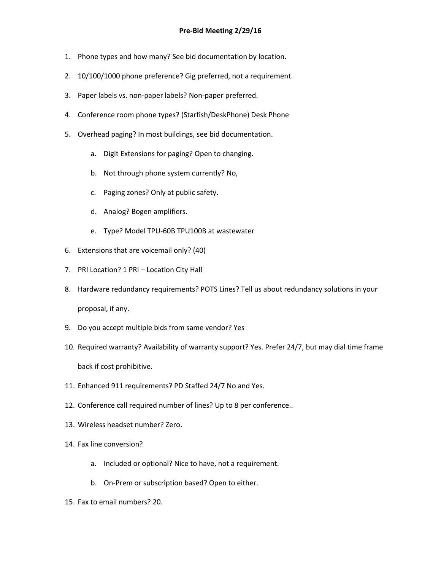- 1. Phone types and how many? See bid documentation by location.
- 2. 10/100/1000 phone preference? Gig preferred, not a requirement.
- 3. Paper labels vs. non-paper labels? Non-paper preferred.
- 4. Conference room phone types? (Starfish/DeskPhone) Desk Phone
- 5. Overhead paging? In most buildings, see bid documentation.
	- a. Digit Extensions for paging? Open to changing.
	- b. Not through phone system currently? No,
	- c. Paging zones? Only at public safety.
	- d. Analog? Bogen amplifiers.
	- e. Type? Model TPU-60B TPU100B at wastewater
- 6. Extensions that are voicemail only? (40)
- 7. PRI Location? 1 PRI Location City Hall
- 8. Hardware redundancy requirements? POTS Lines? Tell us about redundancy solutions in your proposal, if any.
- 9. Do you accept multiple bids from same vendor? Yes
- 10. Required warranty? Availability of warranty support? Yes. Prefer 24/7, but may dial time frame back if cost prohibitive.
- 11. Enhanced 911 requirements? PD Staffed 24/7 No and Yes.
- 12. Conference call required number of lines? Up to 8 per conference..
- 13. Wireless headset number? Zero.
- 14. Fax line conversion?
	- a. Included or optional? Nice to have, not a requirement.
	- b. On-Prem or subscription based? Open to either.
- 15. Fax to email numbers? 20.